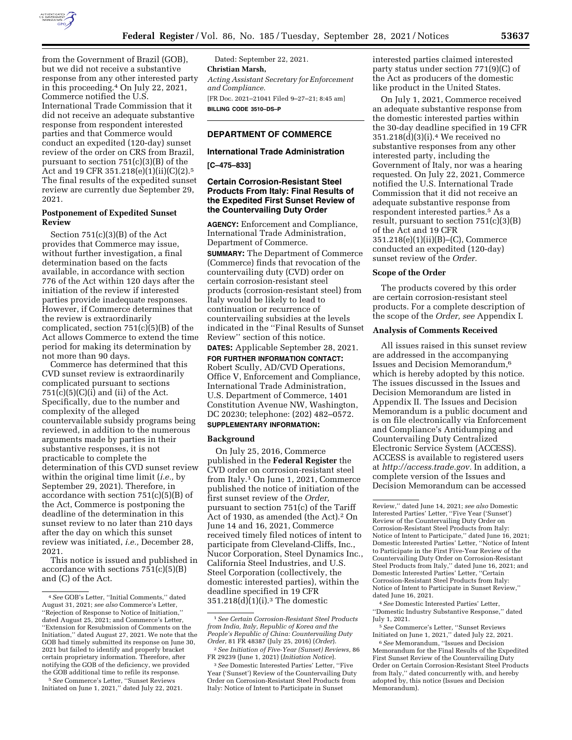

from the Government of Brazil (GOB), but we did not receive a substantive response from any other interested party in this proceeding.4 On July 22, 2021, Commerce notified the U.S. International Trade Commission that it did not receive an adequate substantive response from respondent interested parties and that Commerce would conduct an expedited (120-day) sunset review of the order on CRS from Brazil, pursuant to section 751(c)(3)(B) of the Act and 19 CFR 351.218(e)(1)(ii)(C)(2).<sup>5</sup> The final results of the expedited sunset review are currently due September 29, 2021.

# **Postponement of Expedited Sunset Review**

Section 751(c)(3)(B) of the Act provides that Commerce may issue, without further investigation, a final determination based on the facts available, in accordance with section 776 of the Act within 120 days after the initiation of the review if interested parties provide inadequate responses. However, if Commerce determines that the review is extraordinarily complicated, section  $751(c)(5)(B)$  of the Act allows Commerce to extend the time period for making its determination by not more than 90 days.

Commerce has determined that this CVD sunset review is extraordinarily complicated pursuant to sections  $751(c)(5)(c)(i)$  and (ii) of the Act. Specifically, due to the number and complexity of the alleged countervailable subsidy programs being reviewed, in addition to the numerous arguments made by parties in their substantive responses, it is not practicable to complete the determination of this CVD sunset review within the original time limit (*i.e.,* by September 29, 2021). Therefore, in accordance with section 751(c)(5)(B) of the Act, Commerce is postponing the deadline of the determination in this sunset review to no later than 210 days after the day on which this sunset review was initiated, *i.e.,* December 28, 2021.

This notice is issued and published in accordance with sections 751(c)(5)(B) and (C) of the Act.

Dated: September 22, 2021. **Christian Marsh,**  *Acting Assistant Secretary for Enforcement and Compliance.*  [FR Doc. 2021–21041 Filed 9–27–21; 8:45 am] **BILLING CODE 3510–DS–P** 

# **DEPARTMENT OF COMMERCE**

### **International Trade Administration**

**[C–475–833]** 

# **Certain Corrosion-Resistant Steel Products From Italy: Final Results of the Expedited First Sunset Review of the Countervailing Duty Order**

**AGENCY:** Enforcement and Compliance, International Trade Administration, Department of Commerce.

**SUMMARY:** The Department of Commerce (Commerce) finds that revocation of the countervailing duty (CVD) order on certain corrosion-resistant steel products (corrosion-resistant steel) from Italy would be likely to lead to continuation or recurrence of countervailing subsidies at the levels indicated in the ''Final Results of Sunset Review'' section of this notice.

**DATES:** Applicable September 28, 2021. **FOR FURTHER INFORMATION CONTACT:**  Robert Scully, AD/CVD Operations, Office V, Enforcement and Compliance, International Trade Administration, U.S. Department of Commerce, 1401 Constitution Avenue NW, Washington, DC 20230; telephone: (202) 482–0572. **SUPPLEMENTARY INFORMATION:** 

# **Background**

On July 25, 2016, Commerce published in the **Federal Register** the CVD order on corrosion-resistant steel from Italy.1 On June 1, 2021, Commerce published the notice of initiation of the first sunset review of the *Order,*  pursuant to section 751(c) of the Tariff Act of 1930, as amended (the Act).<sup>2</sup> On June 14 and 16, 2021, Commerce received timely filed notices of intent to participate from Cleveland-Cliffs, Inc., Nucor Corporation, Steel Dynamics Inc., California Steel Industries, and U.S. Steel Corporation (collectively, the domestic interested parties), within the deadline specified in 19 CFR  $351.218(d)(1)(i).<sup>3</sup>$  The domestic

interested parties claimed interested party status under section 771(9)(C) of the Act as producers of the domestic like product in the United States.

On July 1, 2021, Commerce received an adequate substantive response from the domestic interested parties within the 30-day deadline specified in 19 CFR 351.218(d)(3)(i).4 We received no substantive responses from any other interested party, including the Government of Italy, nor was a hearing requested. On July 22, 2021, Commerce notified the U.S. International Trade Commission that it did not receive an adequate substantive response from respondent interested parties.<sup>5</sup> As a result, pursuant to section  $751(c)(3)(B)$ of the Act and 19 CFR 351.218(e)(1)(ii)(B)–(C), Commerce conducted an expedited (120-day) sunset review of the *Order.* 

### **Scope of the Order**

The products covered by this order are certain corrosion-resistant steel products. For a complete description of the scope of the *Order, see* Appendix I.

### **Analysis of Comments Received**

All issues raised in this sunset review are addressed in the accompanying Issues and Decision Memorandum,6 which is hereby adopted by this notice. The issues discussed in the Issues and Decision Memorandum are listed in Appendix II. The Issues and Decision Memorandum is a public document and is on file electronically via Enforcement and Compliance's Antidumping and Countervailing Duty Centralized Electronic Service System (ACCESS). ACCESS is available to registered users at *http://access.trade.gov.* In addition, a complete version of the Issues and Decision Memorandum can be accessed

<sup>4</sup>*See* GOB's Letter, ''Initial Comments,'' dated August 31, 2021; *see also* Commerce's Letter, ''Rejection of Response to Notice of Initiation,'' dated August 25, 2021; and Commerce's Letter, ''Extension for Resubmission of Comments on the Initiation,'' dated August 27, 2021. We note that the GOB had timely submitted its response on June 30, 2021 but failed to identify and properly bracket certain proprietary information. Therefore, after notifying the GOB of the deficiency, we provided the GOB additional time to refile its response.

<sup>5</sup>*See* Commerce's Letter, ''Sunset Reviews Initiated on June 1, 2021,'' dated July 22, 2021.

<sup>1</sup>*See Certain Corrosion-Resistant Steel Products from India, Italy, Republic of Korea and the People's Republic of China: Countervailing Duty Order,* 81 FR 48387 (July 25, 2016) (*Order*).

<sup>2</sup>*See Initiation of Five-Year (Sunset) Reviews,* 86 FR 29239 (June 1, 2021) (*Initiation Notice*).

<sup>3</sup>*See* Domestic Interested Parties' Letter, ''Five Year ('Sunset') Review of the Countervailing Duty Order on Corrosion-Resistant Steel Products from Italy: Notice of Intent to Participate in Sunset

Review,'' dated June 14, 2021; *see also* Domestic Interested Parties' Letter, ''Five Year ('Sunset') Review of the Countervailing Duty Order on Corrosion-Resistant Steel Products from Italy: Notice of Intent to Participate,'' dated June 16, 2021; Domestic Interested Parties' Letter, ''Notice of Intent to Participate in the First Five-Year Review of the Countervailing Duty Order on Corrosion-Resistant Steel Products from Italy," dated June 16, 2021; and Domestic Interested Parties' Letter, ''Certain Corrosion-Resistant Steel Products from Italy: Notice of Intent to Participate in Sunset Review,'' dated June 16, 2021.

<sup>4</sup>*See* Domestic Interested Parties' Letter, ''Domestic Industry Substantive Response,'' dated July 1, 2021.

<sup>5</sup>*See* Commerce's Letter, ''Sunset Reviews Initiated on June 1, 2021,'' dated July 22, 2021.

<sup>6</sup>*See* Memorandum, ''Issues and Decision Memorandum for the Final Results of the Expedited First Sunset Review of the Countervailing Duty Order on Certain Corrosion-Resistant Steel Products from Italy,'' dated concurrently with, and hereby adopted by, this notice (Issues and Decision Memorandum).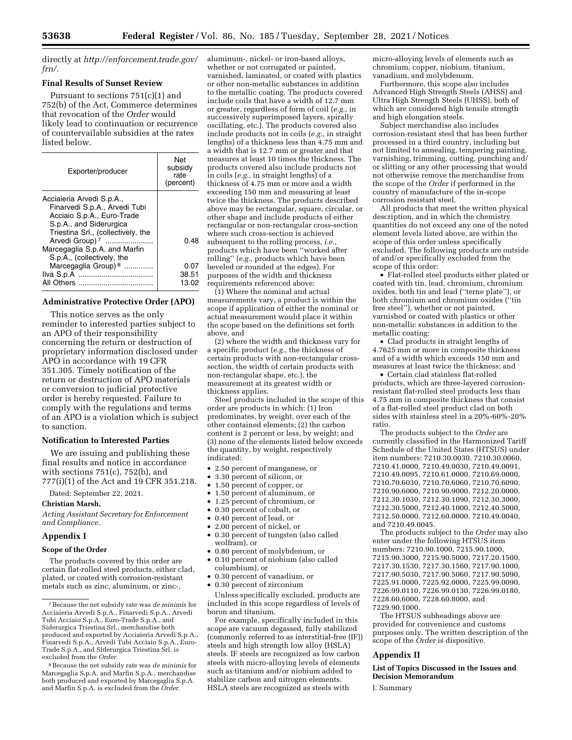directly at *http://enforcement.trade.gov/ frn/.* 

### **Final Results of Sunset Review**

Pursuant to sections 751(c)(1) and 752(b) of the Act, Commerce determines that revocation of the *Order* would likely lead to continuation or recurrence of countervailable subsidies at the rates listed below.

| Exporter/producer                                                                                                                                                                       | Net<br>subsidy<br>rate<br>(percent) |
|-----------------------------------------------------------------------------------------------------------------------------------------------------------------------------------------|-------------------------------------|
| Acciaieria Arvedi S.p.A.,<br>Finarvedi S.p.A., Arvedi Tubi<br>Acciaio S.p.A., Euro-Trade<br>S.p.A., and Siderurgica<br>Triestina Srl., (collectively, the<br>Arvedi Group) <sup>7</sup> | 0.48                                |
| Marcegaglia S.p.A. and Marfin<br>S.p.A., (collectively, the                                                                                                                             |                                     |
| Marcegaglia Group) <sup>8</sup><br>All Others<br>                                                                                                                                       | 0.07<br>38.51<br>13.02              |

### **Administrative Protective Order (APO)**

This notice serves as the only reminder to interested parties subject to an APO of their responsibility concerning the return or destruction of proprietary information disclosed under APO in accordance with 19 CFR 351.305. Timely notification of the return or destruction of APO materials or conversion to judicial protective order is hereby requested. Failure to comply with the regulations and terms of an APO is a violation which is subject to sanction.

### **Notification to Interested Parties**

We are issuing and publishing these final results and notice in accordance with sections 751(c), 752(b), and 777(i)(1) of the Act and 19 CFR 351.218.

Dated: September 22, 2021.

**Christian Marsh,** 

*Acting Assistant Secretary for Enforcement and Compliance.* 

#### **Appendix I**

### **Scope of the Order**

The products covered by this order are certain flat-rolled steel products, either clad, plated, or coated with corrosion-resistant metals such as zinc, aluminum, or zinc-,

aluminum-, nickel- or iron-based alloys, whether or not corrugated or painted, varnished, laminated, or coated with plastics or other non-metallic substances in addition to the metallic coating. The products covered include coils that have a width of 12.7 mm or greater, regardless of form of coil (*e.g.,* in successively superimposed layers, spirally oscillating, etc.). The products covered also include products not in coils (*e.g.,* in straight lengths) of a thickness less than 4.75 mm and a width that is 12.7 mm or greater and that measures at least 10 times the thickness. The products covered also include products not in coils (*e.g.,* in straight lengths) of a thickness of 4.75 mm or more and a width exceeding 150 mm and measuring at least twice the thickness. The products described above may be rectangular, square, circular, or other shape and include products of either rectangular or non-rectangular cross-section where such cross-section is achieved subsequent to the rolling process, *i.e.,*  products which have been ''worked after rolling'' (*e.g.,* products which have been beveled or rounded at the edges). For purposes of the width and thickness requirements referenced above:

(1) Where the nominal and actual measurements vary, a product is within the scope if application of either the nominal or actual measurement would place it within the scope based on the definitions set forth above, and

(2) where the width and thickness vary for a specific product (*e.g.,* the thickness of certain products with non-rectangular crosssection, the width of certain products with non-rectangular shape, etc.), the measurement at its greatest width or thickness applies.

Steel products included in the scope of this order are products in which: (1) Iron predominates, by weight, over each of the other contained elements; (2) the carbon content is 2 percent or less, by weight; and (3) none of the elements listed below exceeds the quantity, by weight, respectively indicated:

- 2.50 percent of manganese, or
- 3.30 percent of silicon, or
- 1.50 percent of copper, or
- 1.50 percent of aluminum, or
- 1.25 percent of chromium, or
- 0.30 percent of cobalt, or
- 0.40 percent of lead, or
- 2.00 percent of nickel, or
- 0.30 percent of tungsten (also called wolfram), or
- 0.80 percent of molybdenum, or • 0.10 percent of niobium (also called columbium), or
- 0.30 percent of vanadium, or
- 0.30 percent of zirconium

Unless specifically excluded, products are included in this scope regardless of levels of boron and titanium.

For example, specifically included in this scope are vacuum degassed, fully stabilized (commonly referred to as interstitial-free (IF)) steels and high strength low alloy (HSLA) steels. IF steels are recognized as low carbon steels with micro-alloying levels of elements such as titanium and/or niobium added to stabilize carbon and nitrogen elements. HSLA steels are recognized as steels with

micro-alloying levels of elements such as chromium, copper, niobium, titanium, vanadium, and molybdenum.

Furthermore, this scope also includes Advanced High Strength Steels (AHSS) and Ultra High Strength Steels (UHSS), both of which are considered high tensile strength and high elongation steels.

Subject merchandise also includes corrosion-resistant steel that has been further processed in a third country, including but not limited to annealing, tempering painting, varnishing, trimming, cutting, punching and/ or slitting or any other processing that would not otherwise remove the merchandise from the scope of the *Order* if performed in the country of manufacture of the in-scope corrosion resistant steel.

All products that meet the written physical description, and in which the chemistry quantities do not exceed any one of the noted element levels listed above, are within the scope of this order unless specifically excluded. The following products are outside of and/or specifically excluded from the scope of this order:

• Flat-rolled steel products either plated or coated with tin, lead, chromium, chromium oxides, both tin and lead (''terne plate''), or both chromium and chromium oxides (''tin free steel''), whether or not painted, varnished or coated with plastics or other non-metallic substances in addition to the metallic coating;

• Clad products in straight lengths of 4.7625 mm or more in composite thickness and of a width which exceeds 150 mm and measures at least twice the thickness; and

• Certain clad stainless flat-rolled products, which are three-layered corrosionresistant flat-rolled steel products less than 4.75 mm in composite thickness that consist of a flat-rolled steel product clad on both sides with stainless steel in a 20%-60%-20% ratio.

The products subject to the *Order* are currently classified in the Harmonized Tariff Schedule of the United States (HTSUS) under item numbers: 7210.30.0030, 7210.30.0060, 7210.41.0000, 7210.49.0030, 7210.49.0091, 7210.49.0095, 7210.61.0000, 7210.69.0000, 7210.70.6030, 7210.70.6060, 7210.70.6090, 7210.90.6000, 7210.90.9000, 7212.20.0000, 7212.30.1030, 7212.30.1090, 7212.30.3000, 7212.30.5000, 7212.40.1000, 7212.40.5000, 7212.50.0000, 7212.60.0000, 7210.49.0040, and 7210.49.0045.

The products subject to the *Order* may also enter under the following HTSUS item numbers: 7210.90.1000, 7215.90.1000, 7215.90.3000, 7215.90.5000, 7217.20.1500, 7217.30.1530, 7217.30.1560, 7217.90.1000, 7217.90.5030, 7217.90.5060, 7217.90.5090, 7225.91.0000, 7225.92.0000, 7225.99.0090, 7226.99.0110, 7226.99.0130, 7226.99.0180, 7228.60.6000, 7228.60.8000, and 7229.90.1000.

The HTSUS subheadings above are provided for convenience and customs purposes only. The written description of the scope of the *Order* is dispositive.

#### **Appendix II**

**List of Topics Discussed in the Issues and Decision Memorandum** 

I. Summary

<sup>7</sup>Because the net subsidy rate was *de minimis* for Acciaieria Arvedi S.p.A., Finarvedi S.p.A., Arvedi Tubi Acciaio S.p.A., Euro-Trade S.p.A., and Siderurgica Triestina Srl., merchandise both produced and exported by Acciaieria Arvedi S.p.A., Finarvedi S.p.A., Arvedi Tubi Acciaio S.p.A., Euro-Trade S.p.A., and Siderurgica Triestina Srl. is excluded from the *Order.* 

<sup>8</sup>Because the net subsidy rate was *de minimis* for Marcegaglia S.p.A. and Marfin S.p.A., merchandise both produced and exported by Marcegaglia S.p.A. and Marfin S.p.A. is excluded from the *Order.*